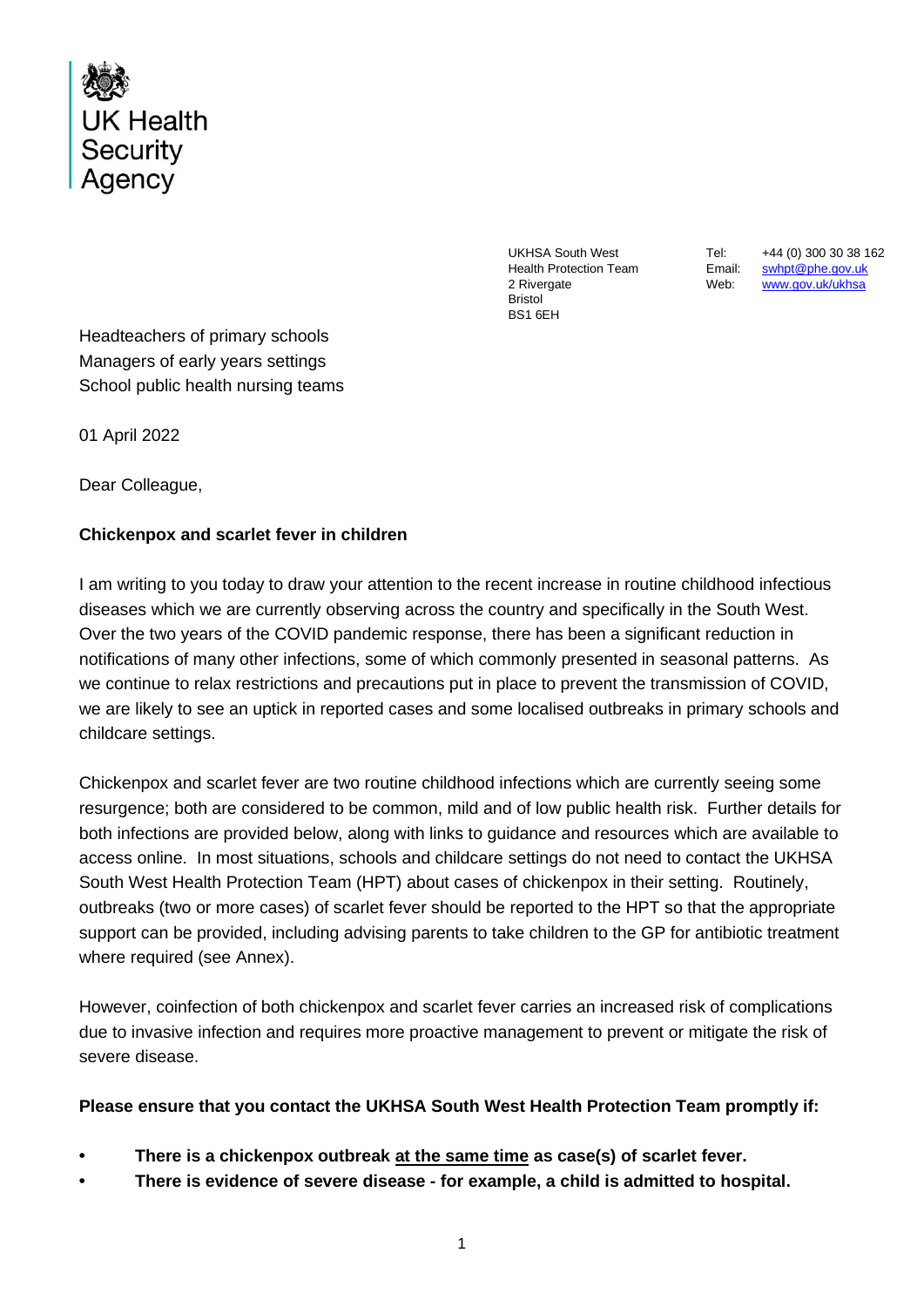

UKHSA South West Health Protection Team 2 Rivergate Bristol BS1 6EH

Tel: +44 (0) 300 30 38 162 Email: [swhpt@phe.gov.uk](mailto:swhpt@phe.gov.uk) Web: [www.gov.uk/ukhsa](http://www.gov.uk/ukhsa)

Headteachers of primary schools Managers of early years settings School public health nursing teams

01 April 2022

Dear Colleague,

# **Chickenpox and scarlet fever in children**

I am writing to you today to draw your attention to the recent increase in routine childhood infectious diseases which we are currently observing across the country and specifically in the South West. Over the two years of the COVID pandemic response, there has been a significant reduction in notifications of many other infections, some of which commonly presented in seasonal patterns. As we continue to relax restrictions and precautions put in place to prevent the transmission of COVID, we are likely to see an uptick in reported cases and some localised outbreaks in primary schools and childcare settings.

Chickenpox and scarlet fever are two routine childhood infections which are currently seeing some resurgence; both are considered to be common, mild and of low public health risk. Further details for both infections are provided below, along with links to guidance and resources which are available to access online. In most situations, schools and childcare settings do not need to contact the UKHSA South West Health Protection Team (HPT) about cases of chickenpox in their setting. Routinely, outbreaks (two or more cases) of scarlet fever should be reported to the HPT so that the appropriate support can be provided, including advising parents to take children to the GP for antibiotic treatment where required (see Annex).

However, coinfection of both chickenpox and scarlet fever carries an increased risk of complications due to invasive infection and requires more proactive management to prevent or mitigate the risk of severe disease.

# **Please ensure that you contact the UKHSA South West Health Protection Team promptly if:**

- **• There is a chickenpox outbreak at the same time as case(s) of scarlet fever.**
- **• There is evidence of severe disease - for example, a child is admitted to hospital.**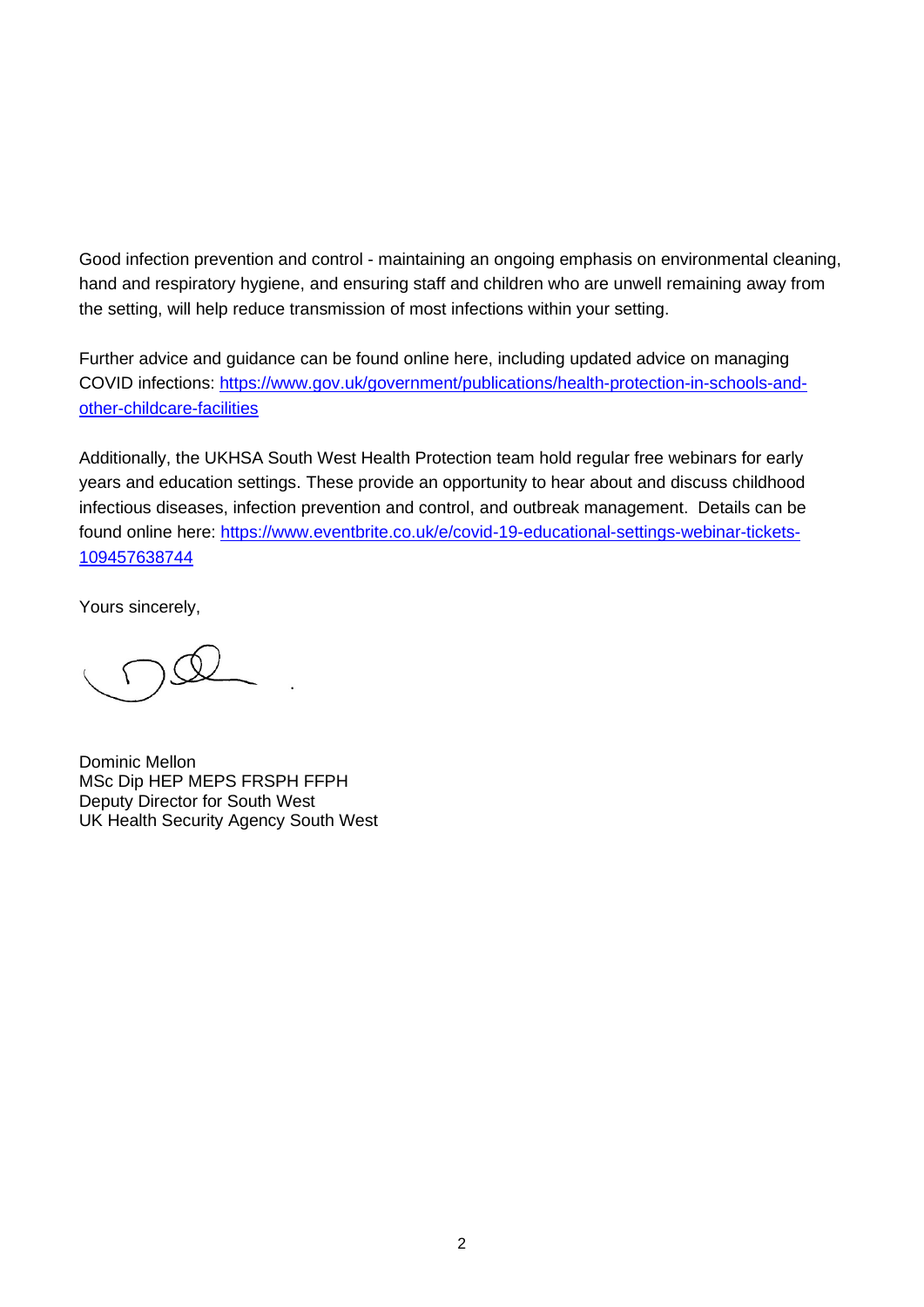Good infection prevention and control - maintaining an ongoing emphasis on environmental cleaning, hand and respiratory hygiene, and ensuring staff and children who are unwell remaining away from the setting, will help reduce transmission of most infections within your setting.

Further advice and guidance can be found online here, including updated advice on managing COVID infections: [https://www.gov.uk/government/publications/health-protection-in-schools-and](https://www.gov.uk/government/publications/health-protection-in-schools-and-other-childcare-facilities)[other-childcare-facilities](https://www.gov.uk/government/publications/health-protection-in-schools-and-other-childcare-facilities)

Additionally, the UKHSA South West Health Protection team hold regular free webinars for early years and education settings. These provide an opportunity to hear about and discuss childhood infectious diseases, infection prevention and control, and outbreak management. Details can be found online here: [https://www.eventbrite.co.uk/e/covid-19-educational-settings-webinar-tickets-](https://www.eventbrite.co.uk/e/covid-19-educational-settings-webinar-tickets-109457638744)[109457638744](https://www.eventbrite.co.uk/e/covid-19-educational-settings-webinar-tickets-109457638744)

Yours sincerely,

Dominic Mellon MSc Dip HEP MEPS FRSPH FFPH Deputy Director for South West UK Health Security Agency South West